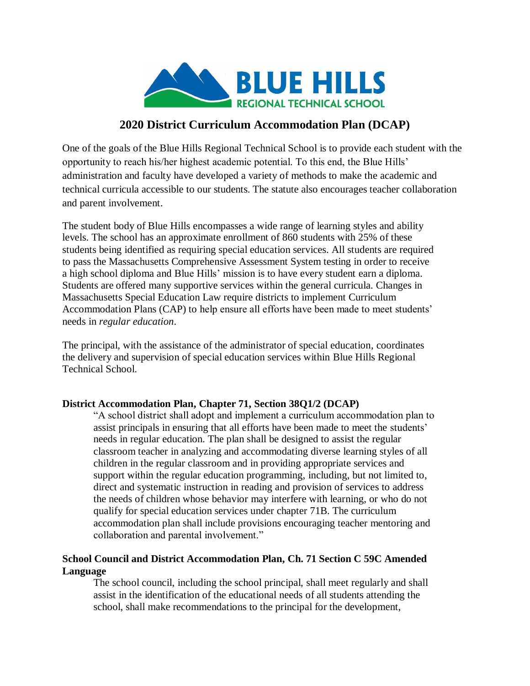

## **2020 District Curriculum Accommodation Plan (DCAP)**

One of the goals of the Blue Hills Regional Technical School is to provide each student with the opportunity to reach his/her highest academic potential. To this end, the Blue Hills' administration and faculty have developed a variety of methods to make the academic and technical curricula accessible to our students. The statute also encourages teacher collaboration and parent involvement.

The student body of Blue Hills encompasses a wide range of learning styles and ability levels. The school has an approximate enrollment of 860 students with 25% of these students being identified as requiring special education services. All students are required to pass the Massachusetts Comprehensive Assessment System testing in order to receive a high school diploma and Blue Hills' mission is to have every student earn a diploma. Students are offered many supportive services within the general curricula. Changes in Massachusetts Special Education Law require districts to implement Curriculum Accommodation Plans (CAP) to help ensure all efforts have been made to meet students' needs in *regular education*.

The principal, with the assistance of the administrator of special education, coordinates the delivery and supervision of special education services within Blue Hills Regional Technical School.

## **District Accommodation Plan, Chapter 71, Section 38Q1/2 (DCAP)**

"A school district shall adopt and implement a curriculum accommodation plan to assist principals in ensuring that all efforts have been made to meet the students' needs in regular education. The plan shall be designed to assist the regular classroom teacher in analyzing and accommodating diverse learning styles of all children in the regular classroom and in providing appropriate services and support within the regular education programming, including, but not limited to, direct and systematic instruction in reading and provision of services to address the needs of children whose behavior may interfere with learning, or who do not qualify for special education services under chapter 71B. The curriculum accommodation plan shall include provisions encouraging teacher mentoring and collaboration and parental involvement."

## **School Council and District Accommodation Plan, Ch. 71 Section C 59C Amended Language**

The school council, including the school principal, shall meet regularly and shall assist in the identification of the educational needs of all students attending the school, shall make recommendations to the principal for the development,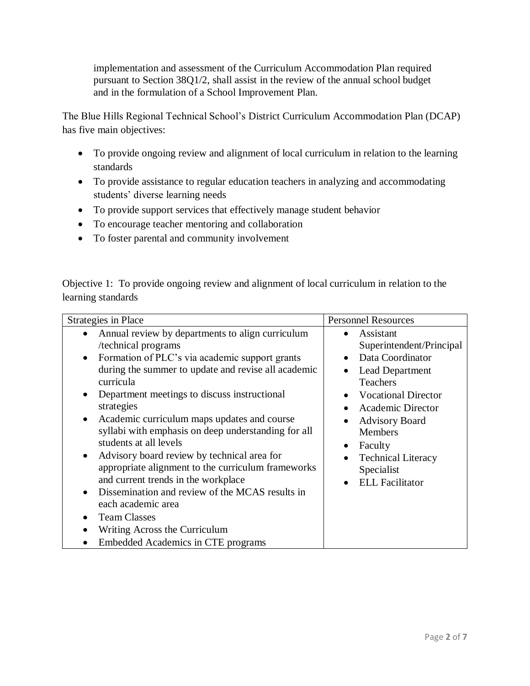implementation and assessment of the Curriculum Accommodation Plan required pursuant to Section 38Q1/2, shall assist in the review of the annual school budget and in the formulation of a School Improvement Plan.

The Blue Hills Regional Technical School's District Curriculum Accommodation Plan (DCAP) has five main objectives:

- To provide ongoing review and alignment of local curriculum in relation to the learning standards
- To provide assistance to regular education teachers in analyzing and accommodating students' diverse learning needs
- To provide support services that effectively manage student behavior
- To encourage teacher mentoring and collaboration
- To foster parental and community involvement

Objective 1: To provide ongoing review and alignment of local curriculum in relation to the learning standards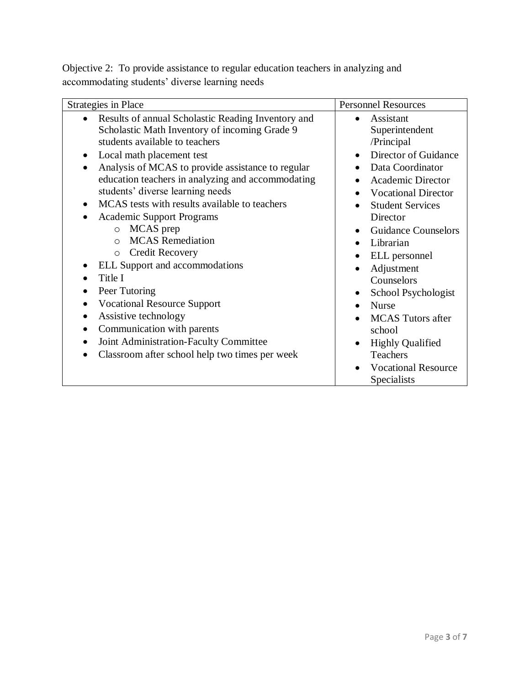Objective 2: To provide assistance to regular education teachers in analyzing and accommodating students' diverse learning needs

| <b>Strategies in Place</b>                                                                                                                                                                                                                                                                                                                                                                                                                                                                                                                                                                                                                                                                                  | <b>Personnel Resources</b>                                                                                                                                                                                                                                                                                                                                                            |
|-------------------------------------------------------------------------------------------------------------------------------------------------------------------------------------------------------------------------------------------------------------------------------------------------------------------------------------------------------------------------------------------------------------------------------------------------------------------------------------------------------------------------------------------------------------------------------------------------------------------------------------------------------------------------------------------------------------|---------------------------------------------------------------------------------------------------------------------------------------------------------------------------------------------------------------------------------------------------------------------------------------------------------------------------------------------------------------------------------------|
| Results of annual Scholastic Reading Inventory and<br>$\bullet$<br>Scholastic Math Inventory of incoming Grade 9<br>students available to teachers<br>Local math placement test<br>$\bullet$<br>Analysis of MCAS to provide assistance to regular<br>education teachers in analyzing and accommodating<br>students' diverse learning needs<br>MCAS tests with results available to teachers<br>$\bullet$<br><b>Academic Support Programs</b><br>MCAS prep<br>$\circ$<br><b>MCAS</b> Remediation<br>$\bigcap$<br><b>Credit Recovery</b><br>$\circ$<br>ELL Support and accommodations<br>Title I<br>Peer Tutoring<br><b>Vocational Resource Support</b><br>Assistive technology<br>Communication with parents | Assistant<br>Superintendent<br>/Principal<br>Director of Guidance<br>Data Coordinator<br><b>Academic Director</b><br><b>Vocational Director</b><br><b>Student Services</b><br>Director<br><b>Guidance Counselors</b><br>$\bullet$<br>Librarian<br>$\bullet$<br>ELL personnel<br>Adjustment<br>Counselors<br>School Psychologist<br><b>Nurse</b><br><b>MCAS</b> Tutors after<br>school |
| Joint Administration-Faculty Committee<br>$\bullet$<br>Classroom after school help two times per week                                                                                                                                                                                                                                                                                                                                                                                                                                                                                                                                                                                                       | <b>Highly Qualified</b><br>Teachers<br><b>Vocational Resource</b><br>Specialists                                                                                                                                                                                                                                                                                                      |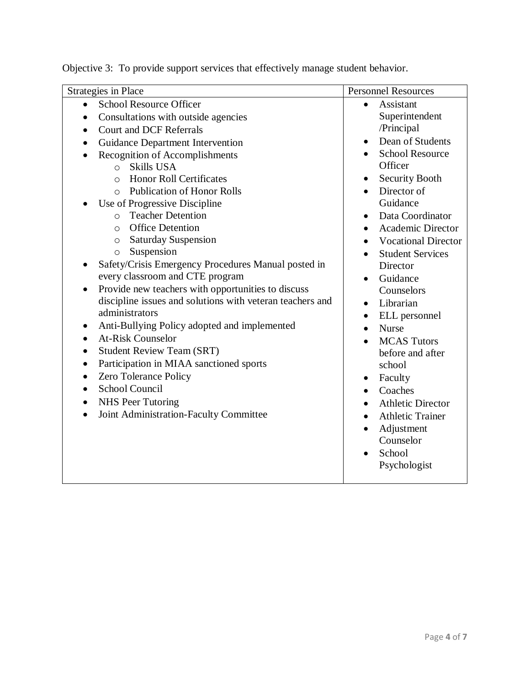| <b>Strategies in Place</b>                                       | <b>Personnel Resources</b>    |
|------------------------------------------------------------------|-------------------------------|
| <b>School Resource Officer</b><br>$\bullet$                      | Assistant<br>$\bullet$        |
| Consultations with outside agencies                              | Superintendent                |
| <b>Court and DCF Referrals</b><br>$\bullet$                      | /Principal                    |
| Guidance Department Intervention                                 | Dean of Students<br>$\bullet$ |
| Recognition of Accomplishments<br>$\bullet$                      | <b>School Resource</b>        |
| <b>Skills USA</b><br>$\circ$                                     | Officer                       |
| <b>Honor Roll Certificates</b><br>$\Omega$                       | <b>Security Booth</b><br>٠    |
| <b>Publication of Honor Rolls</b><br>$\bigcirc$                  | Director of                   |
| Use of Progressive Discipline                                    | Guidance                      |
| <b>Teacher Detention</b><br>$\circ$                              | Data Coordinator<br>$\bullet$ |
| <b>Office Detention</b><br>$\circ$                               | <b>Academic Director</b>      |
| <b>Saturday Suspension</b><br>$\circ$                            | <b>Vocational Director</b>    |
| Suspension<br>$\circ$                                            | <b>Student Services</b>       |
| Safety/Crisis Emergency Procedures Manual posted in<br>$\bullet$ | Director                      |
| every classroom and CTE program                                  | Guidance<br>$\bullet$         |
| Provide new teachers with opportunities to discuss               | Counselors                    |
| discipline issues and solutions with veteran teachers and        | Librarian<br>$\bullet$        |
| administrators                                                   | ELL personnel<br>$\bullet$    |
| Anti-Bullying Policy adopted and implemented<br>٠                | <b>Nurse</b><br>$\bullet$     |
| <b>At-Risk Counselor</b>                                         | <b>MCAS</b> Tutors            |
| <b>Student Review Team (SRT)</b><br>$\bullet$                    | before and after              |
| Participation in MIAA sanctioned sports<br>$\bullet$             | school                        |
| Zero Tolerance Policy<br>$\bullet$                               | Faculty<br>٠                  |
| <b>School Council</b><br>$\bullet$                               | Coaches                       |
| <b>NHS Peer Tutoring</b><br>$\bullet$                            | <b>Athletic Director</b>      |
| Joint Administration-Faculty Committee<br>$\bullet$              | <b>Athletic Trainer</b>       |
|                                                                  | Adjustment                    |
|                                                                  | Counselor                     |
|                                                                  | School                        |
|                                                                  | Psychologist                  |
|                                                                  |                               |

Objective 3: To provide support services that effectively manage student behavior.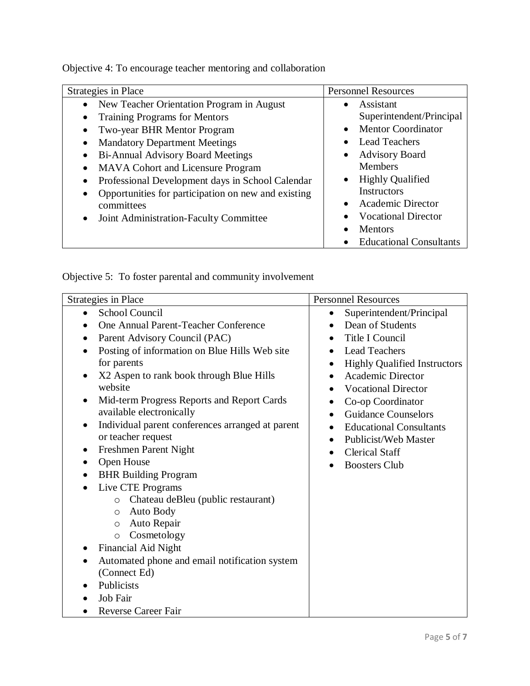Objective 4: To encourage teacher mentoring and collaboration

| Strategies in Place                                                                                                                                                                                                                                                                                                                                                                                                                               | <b>Personnel Resources</b>                                                                                                                                                                                                                                                                       |
|---------------------------------------------------------------------------------------------------------------------------------------------------------------------------------------------------------------------------------------------------------------------------------------------------------------------------------------------------------------------------------------------------------------------------------------------------|--------------------------------------------------------------------------------------------------------------------------------------------------------------------------------------------------------------------------------------------------------------------------------------------------|
| New Teacher Orientation Program in August<br>$\bullet$<br><b>Training Programs for Mentors</b><br>$\bullet$<br>Two-year BHR Mentor Program<br>$\bullet$<br><b>Mandatory Department Meetings</b><br>٠<br><b>Bi-Annual Advisory Board Meetings</b><br>٠<br><b>MAVA Cohort and Licensure Program</b><br>٠<br>Professional Development days in School Calendar<br>$\bullet$<br>Opportunities for participation on new and existing<br>٠<br>committees | Assistant<br>$\bullet$<br>Superintendent/Principal<br><b>Mentor Coordinator</b><br>$\bullet$<br><b>Lead Teachers</b><br>$\bullet$<br><b>Advisory Board</b><br>$\bullet$<br><b>Members</b><br><b>Highly Qualified</b><br>$\bullet$<br><b>Instructors</b><br><b>Academic Director</b><br>$\bullet$ |
| Joint Administration-Faculty Committee<br>$\bullet$                                                                                                                                                                                                                                                                                                                                                                                               | <b>Vocational Director</b><br>$\bullet$<br><b>Mentors</b><br><b>Educational Consultants</b>                                                                                                                                                                                                      |

Objective 5: To foster parental and community involvement

| <b>Strategies in Place</b>                                    | <b>Personnel Resources</b>                  |
|---------------------------------------------------------------|---------------------------------------------|
| School Council<br>$\bullet$                                   | Superintendent/Principal<br>$\bullet$       |
| One Annual Parent-Teacher Conference                          | Dean of Students                            |
| Parent Advisory Council (PAC)                                 | Title I Council                             |
| Posting of information on Blue Hills Web site                 | <b>Lead Teachers</b>                        |
| for parents                                                   | <b>Highly Qualified Instructors</b>         |
| X2 Aspen to rank book through Blue Hills                      | Academic Director<br>$\bullet$              |
| website                                                       | <b>Vocational Director</b>                  |
| Mid-term Progress Reports and Report Cards                    | Co-op Coordinator<br>$\bullet$              |
| available electronically                                      | <b>Guidance Counselors</b>                  |
| Individual parent conferences arranged at parent<br>$\bullet$ | <b>Educational Consultants</b><br>$\bullet$ |
| or teacher request                                            | Publicist/Web Master                        |
| Freshmen Parent Night<br>٠                                    | <b>Clerical Staff</b>                       |
| Open House<br>$\bullet$                                       | <b>Boosters Club</b>                        |
| <b>BHR Building Program</b>                                   |                                             |
| Live CTE Programs                                             |                                             |
| Chateau deBleu (public restaurant)<br>$\circ$                 |                                             |
| Auto Body<br>$\circ$                                          |                                             |
| Auto Repair<br>$\circ$                                        |                                             |
| Cosmetology<br>$\circ$                                        |                                             |
| Financial Aid Night                                           |                                             |
| Automated phone and email notification system                 |                                             |
| (Connect Ed)                                                  |                                             |
| Publicists                                                    |                                             |
| Job Fair                                                      |                                             |
| <b>Reverse Career Fair</b>                                    |                                             |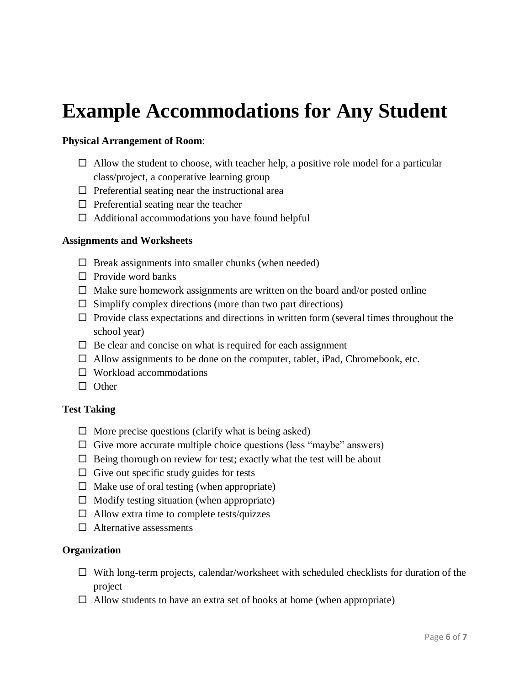# **Example Accommodations for Any Student**

#### **Physical Arrangement of Room**:

- $\Box$  Allow the student to choose, with teacher help, a positive role model for a particular class/project, a cooperative learning group
- $\Box$  Preferential seating near the instructional area
- $\Box$  Preferential seating near the teacher
- $\Box$  Additional accommodations you have found helpful

#### **Assignments and Worksheets**

- $\Box$  Break assignments into smaller chunks (when needed)
- $\Box$  Provide word banks
- $\Box$  Make sure homework assignments are written on the board and/or posted online
- $\Box$  Simplify complex directions (more than two part directions)
- $\Box$  Provide class expectations and directions in written form (several times throughout the school year)
- $\Box$  Be clear and concise on what is required for each assignment
- $\Box$  Allow assignments to be done on the computer, tablet, iPad, Chromebook, etc.
- $\square$  Workload accommodations
- $\Box$  Other

#### **Test Taking**

- $\Box$  More precise questions (clarify what is being asked)
- $\Box$  Give more accurate multiple choice questions (less "maybe" answers)
- $\Box$  Being thorough on review for test; exactly what the test will be about
- $\Box$  Give out specific study guides for tests
- $\Box$  Make use of oral testing (when appropriate)
- $\Box$  Modify testing situation (when appropriate)
- $\Box$  Allow extra time to complete tests/quizzes
- $\Box$  Alternative assessments

#### **Organization**

- $\Box$  With long-term projects, calendar/worksheet with scheduled checklists for duration of the project
- $\Box$  Allow students to have an extra set of books at home (when appropriate)